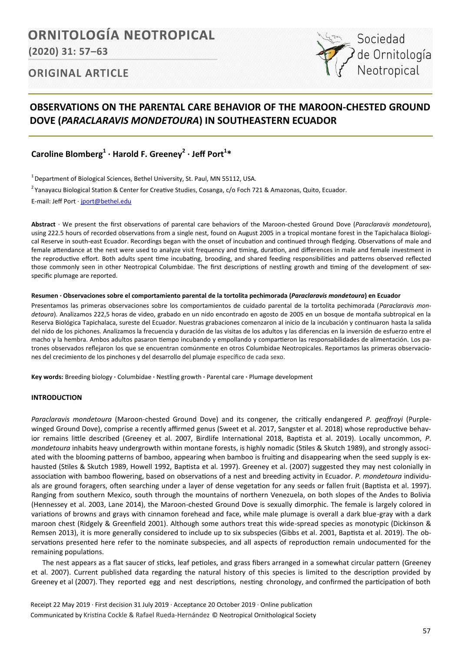# ORNITOLOGÍA NEOTROPICAL

**(2020) 31: 57–63**

# **ORIGINAL ARTICLE**

# **OBSERVATIONS ON THE PARENTAL CARE BEHAVIOR OF THE MAROON-CHESTED GROUND DOVE (***PARACLARAVIS MONDETOURA***) IN SOUTHEASTERN ECUADOR**

**Caroline Blomberg<sup>1</sup> · Harold F. Greeney<sup>2</sup> · Jeff Port<sup>1</sup> \***

 $<sup>1</sup>$  Department of Biological Sciences, Bethel University, St. Paul, MN 55112, USA.</sup>

<sup>2</sup> Yanayacu Biological Station & Center for Creative Studies, Cosanga, c/o Foch 721 & Amazonas, Quito, Ecuador.

E-mail: Jeff Port · [jport@bethel.edu](mailto:jport@bethel.edu)

**Abstract** ∙ We present the first observations of parental care behaviors of the Maroon-chested Ground Dove (*Paraclaravis mondetoura*), using 222.5 hours of recorded observations from a single nest, found on August 2005 in a tropical montane forest in the Tapichalaca Biological Reserve in south-east Ecuador. Recordings began with the onset of incubation and continued through fledging. Observations of male and female attendance at the nest were used to analyze visit frequency and timing, duration, and differences in male and female investment in the reproductive effort. Both adults spent time incubating, brooding, and shared feeding responsibilities and patterns observed reflected those commonly seen in other Neotropical Columbidae. The first descriptions of nestling growth and timing of the development of sexspecific plumage are reported.

#### **Resumen ∙ Observaciones sobre el comportamiento parental de la tortolita pechimorada (***Paraclaravis mondetoura***) en Ecuador**

Presentamos las primeras observaciones sobre los comportamientos de cuidado parental de la tortolita pechimorada (*Paraclaravis mondetoura*). Analizamos 222,5 horas de video, grabado en un nido encontrado en agosto de 2005 en un bosque de montaña subtropical en la Reserva Biológica Tapichalaca, sureste del Ecuador. Nuestras grabaciones comenzaron al inicio de la incubación y continuaron hasta la salida del nido de los pichones. Analizamos la frecuencia y duración de las visitas de los adultos y las diferencias en la inversión de esfuerzo entre el macho y la hembra. Ambos adultos pasaron tiempo incubando y empollando y compartieron las responsabilidades de alimentación. Los patrones observados reflejaron los que se encuentran comúnmente en otros Columbidae Neotropicales. Reportamos las primeras observaciones del crecimiento de los pinchones y del desarrollo del plumaje específico de cada sexo.

**Key words:** Breeding biology **∙** Columbidae **∙** Nestling growth **∙** Parental care **∙** Plumage development

## **INTRODUCTION**

*Paraclaravis mondetoura* (Maroon-chested Ground Dove) and its congener*,* the critically endangered *P. geoffroyi* (Purplewinged Ground Dove), comprise a recently affirmed genus (Sweet et al. 2017, Sangster et al. 2018) whose reproductive behavior remains little described (Greeney et al. 2007, Birdlife International 2018, Baptista et al. 2019). Locally uncommon, *P*. *mondetoura* inhabits heavy undergrowth within montane forests, is highly nomadic (Stiles & Skutch 1989), and strongly associated with the blooming patterns of bamboo, appearing when bamboo is fruiting and disappearing when the seed supply is exhausted (Stiles & Skutch 1989, Howell 1992, Baptista et al. 1997). Greeney et al. (2007) suggested they may nest colonially in association with bamboo flowering, based on observations of a nest and breeding activity in Ecuador. *P. mondetoura* individuals are ground foragers, often searching under a layer of dense vegetation for any seeds or fallen fruit (Baptista et al. 1997). Ranging from southern Mexico, south through the mountains of northern Venezuela, on both slopes of the Andes to Bolivia (Hennessey et al. 2003, Lane 2014), the Maroon-chested Ground Dove is sexually dimorphic. The female is largely colored in variations of browns and grays with cinnamon forehead and face, while male plumage is overall a dark blue-gray with a dark maroon chest (Ridgely & Greenfield 2001). Although some authors treat this wide-spread species as monotypic (Dickinson & Remsen 2013), it is more generally considered to include up to six subspecies (Gibbs et al. 2001, Baptista et al. 2019). The observations presented here refer to the nominate subspecies, and all aspects of reproduction remain undocumented for the remaining populations.

The nest appears as a flat saucer of sticks, leaf petioles, and grass fibers arranged in a somewhat circular pattern (Greeney et al. 2007). Current published data regarding the natural history of this species is limited to the description provided by Greeney et al (2007). They reported egg and nest descriptions, nesting chronology, and confirmed the participation of both

Receipt 22 May 2019 ∙ First decision 31 July 2019 ∙ Acceptance 20 October 2019 ∙ Online publication Communicated by Kristina Cockle & Rafael Rueda-Hernández © Neotropical Ornithological Society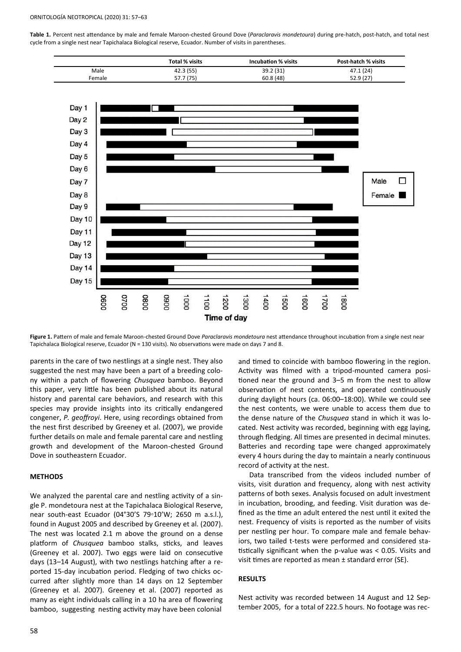ORNITOLOGÍA NEOTROPICAL (2020) 31: 57–63

**Table 1.** Percent nest attendance by male and female Maroon-chested Ground Dove (*Paraclaravis mondetoura*) during pre-hatch, post-hatch, and total nest cycle from a single nest near Tapichalaca Biological reserve, Ecuador. Number of visits in parentheses.





**Figure 1.** Pattern of male and female Maroon-chested Ground Dove *Paraclaravis mondetoura* nest attendance throughout incubation from a single nest near Tapichalaca Biological reserve, Ecuador (N = 130 visits). No observations were made on days 7 and 8.

parents in the care of two nestlings at a single nest. They also suggested the nest may have been a part of a breeding colony within a patch of flowering *Chusquea* bamboo. Beyond this paper, very little has been published about its natural history and parental care behaviors, and research with this species may provide insights into its critically endangered congener, *P. geoffroyi*. Here, using recordings obtained from the nest first described by Greeney et al. (2007), we provide further details on male and female parental care and nestling growth and development of the Maroon-chested Ground Dove in southeastern Ecuador.

#### **METHODS**

We analyzed the parental care and nestling activity of a single P. mondetoura nest at the Tapichalaca Biological Reserve, near south-east Ecuador (04°30'S 79◦10'W; 2650 m a.s.l.), found in August 2005 and described by Greeney et al. (2007). The nest was located 2.1 m above the ground on a dense platform of *Chusquea* bamboo stalks, sticks, and leaves (Greeney et al. 2007). Two eggs were laid on consecutive days (13–14 August), with two nestlings hatching after a reported 15-day incubation period. Fledging of two chicks occurred after slightly more than 14 days on 12 September (Greeney et al. 2007). Greeney et al. (2007) reported as many as eight individuals calling in a 10 ha area of flowering bamboo, suggesting nesting activity may have been colonial

and timed to coincide with bamboo flowering in the region. Activity was filmed with a tripod-mounted camera positioned near the ground and 3–5 m from the nest to allow observation of nest contents, and operated continuously during daylight hours (ca. 06:00–18:00). While we could see the nest contents, we were unable to access them due to the dense nature of the *Chusquea* stand in which it was located. Nest activity was recorded, beginning with egg laying, through fledging. All times are presented in decimal minutes. Batteries and recording tape were changed approximately every 4 hours during the day to maintain a nearly continuous record of activity at the nest.

Data transcribed from the videos included number of visits, visit duration and frequency, along with nest activity patterns of both sexes. Analysis focused on adult investment in incubation, brooding, and feeding. Visit duration was defined as the time an adult entered the nest until it exited the nest. Frequency of visits is reported as the number of visits per nestling per hour. To compare male and female behaviors, two tailed t-tests were performed and considered statistically significant when the p-value was < 0.05. Visits and visit times are reported as mean ± standard error (SE).

### **RESULTS**

Nest activity was recorded between 14 August and 12 September 2005, for a total of 222.5 hours. No footage was rec-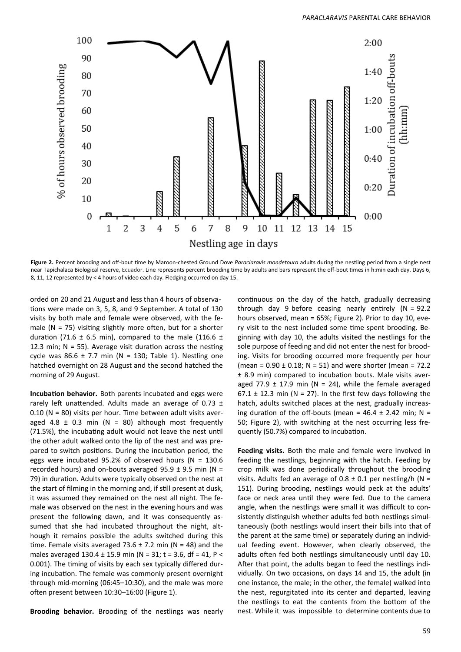

**Figure 2.** Percent brooding and off-bout time by Maroon-chested Ground Dove *Paraclaravis mondetoura* adults during the nestling period from a single nest near Tapichalaca Biological reserve, Ecuador. Line represents percent brooding time by adults and bars represent the off-bout times in h:min each day. Days 6, 8, 11, 12 represented by < 4 hours of video each day. Fledging occurred on day 15.

orded on 20 and 21 August and less than 4 hours of observations were made on 3, 5, 8, and 9 September. A total of 130 visits by both male and female were observed, with the female ( $N = 75$ ) visiting slightly more often, but for a shorter duration (71.6  $\pm$  6.5 min), compared to the male (116.6  $\pm$ 12.3 min;  $N = 55$ ). Average visit duration across the nesting cycle was 86.6  $\pm$  7.7 min (N = 130; Table 1). Nestling one hatched overnight on 28 August and the second hatched the morning of 29 August.

**Incubation behavior.** Both parents incubated and eggs were rarely left unattended. Adults made an average of 0.73  $\pm$ 0.10 (N = 80) visits per hour. Time between adult visits averaged 4.8  $\pm$  0.3 min (N = 80) although most frequently (71.5%), the incubating adult would not leave the nest until the other adult walked onto the lip of the nest and was prepared to switch positions. During the incubation period, the eggs were incubated 95.2% of observed hours ( $N = 130.6$ ) recorded hours) and on-bouts averaged  $95.9 \pm 9.5$  min (N = 79) in duration. Adults were typically observed on the nest at the start of filming in the morning and, if still present at dusk, it was assumed they remained on the nest all night. The female was observed on the nest in the evening hours and was present the following dawn, and it was consequently assumed that she had incubated throughout the night, although it remains possible the adults switched during this time. Female visits averaged 73.6  $\pm$  7.2 min (N = 48) and the males averaged  $130.4 \pm 15.9$  min (N = 31; t = 3.6, df = 41, P < 0.001). The timing of visits by each sex typically differed during incubation. The female was commonly present overnight through mid-morning (06:45–10:30), and the male was more often present between 10:30–16:00 (Figure 1).

**Brooding behavior.** Brooding of the nestlings was nearly

continuous on the day of the hatch, gradually decreasing through day 9 before ceasing nearly entirely (N = 92.2 hours observed, mean = 65%; Figure 2). Prior to day 10, every visit to the nest included some time spent brooding. Beginning with day 10, the adults visited the nestlings for the sole purpose of feeding and did not enter the nest for brooding. Visits for brooding occurred more frequently per hour (mean =  $0.90 \pm 0.18$ ; N = 51) and were shorter (mean = 72.2 ± 8.9 min) compared to incubation bouts. Male visits averaged 77.9  $\pm$  17.9 min (N = 24), while the female averaged 67.1  $\pm$  12.3 min (N = 27). In the first few days following the hatch, adults switched places at the nest, gradually increasing duration of the off-bouts (mean =  $46.4 \pm 2.42$  min; N = 50; Figure 2), with switching at the nest occurring less frequently (50.7%) compared to incubation.

**Feeding visits.** Both the male and female were involved in feeding the nestlings, beginning with the hatch. Feeding by crop milk was done periodically throughout the brooding visits. Adults fed an average of  $0.8 \pm 0.1$  per nestling/h (N = 151). During brooding, nestlings would peck at the adults' face or neck area until they were fed. Due to the camera angle, when the nestlings were small it was difficult to consistently distinguish whether adults fed both nestlings simultaneously (both nestlings would insert their bills into that of the parent at the same time) or separately during an individual feeding event. However, when clearly observed, the adults often fed both nestlings simultaneously until day 10. After that point, the adults began to feed the nestlings individually. On two occasions, on days 14 and 15, the adult (in one instance, the male; in the other, the female) walked into the nest, regurgitated into its center and departed, leaving the nestlings to eat the contents from the bottom of the nest. While it was impossible to determine contents due to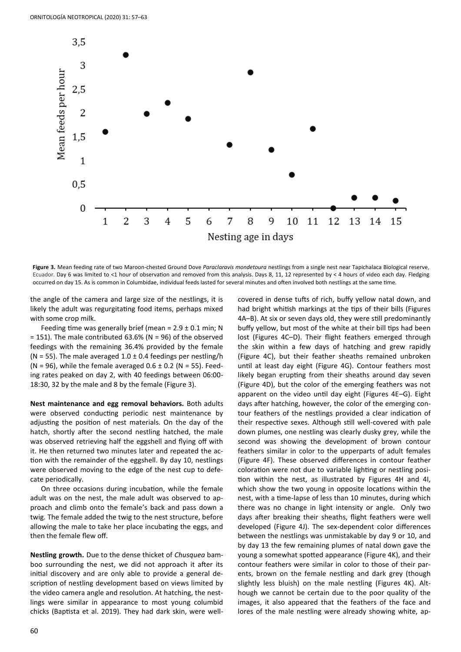

**Figure 3.** Mean feeding rate of two Maroon-chested Ground Dove *Paraclaravis mondetoura* nestlings from a single nest near Tapichalaca Biological reserve, Ecuador. Day 6 was limited to <1 hour of observation and removed from this analysis. Days 8, 11, 12 represented by < 4 hours of video each day. Fledging occurred on day 15. As is common in Columbidae, individual feeds lasted for several minutes and often involved both nestlings at the same time.

the angle of the camera and large size of the nestlings, it is likely the adult was regurgitating food items, perhaps mixed with some crop milk.

Feeding time was generally brief (mean =  $2.9 \pm 0.1$  min; N  $= 151$ ). The male contributed 63.6% (N = 96) of the observed feedings with the remaining 36.4% provided by the female (N = 55). The male averaged  $1.0 \pm 0.4$  feedings per nestling/h (N = 96), while the female averaged  $0.6 \pm 0.2$  (N = 55). Feeding rates peaked on day 2, with 40 feedings between 06:00- 18:30, 32 by the male and 8 by the female (Figure 3).

**Nest maintenance and egg removal behaviors.** Both adults were observed conducting periodic nest maintenance by adjusting the position of nest materials. On the day of the hatch, shortly after the second nestling hatched, the male was observed retrieving half the eggshell and flying off with it. He then returned two minutes later and repeated the action with the remainder of the eggshell. By day 10, nestlings were observed moving to the edge of the nest cup to defecate periodically.

On three occasions during incubation, while the female adult was on the nest, the male adult was observed to approach and climb onto the female's back and pass down a twig. The female added the twig to the nest structure, before allowing the male to take her place incubating the eggs, and then the female flew off.

**Nestling growth.** Due to the dense thicket of *Chusquea* bamboo surrounding the nest, we did not approach it after its initial discovery and are only able to provide a general description of nestling development based on views limited by the video camera angle and resolution. At hatching, the nestlings were similar in appearance to most young columbid chicks (Baptista et al. 2019). They had dark skin, were well-

covered in dense tufts of rich, buffy yellow natal down, and had bright whitish markings at the tips of their bills (Figures 4A–B). At six or seven days old, they were still predominantly buffy yellow, but most of the white at their bill tips had been lost (Figures 4C–D). Their flight feathers emerged through the skin within a few days of hatching and grew rapidly (Figure 4C), but their feather sheaths remained unbroken until at least day eight (Figure 4G). Contour feathers most likely began erupting from their sheaths around day seven (Figure 4D), but the color of the emerging feathers was not apparent on the video until day eight (Figures 4E–G). Eight days after hatching, however, the color of the emerging contour feathers of the nestlings provided a clear indication of their respective sexes. Although still well-covered with pale down plumes, one nestling was clearly dusky grey, while the second was showing the development of brown contour feathers similar in color to the upperparts of adult females (Figure 4F). These observed differences in contour feather coloration were not due to variable lighting or nestling position within the nest, as illustrated by Figures 4H and 4I, which show the two young in opposite locations within the nest, with a time-lapse of less than 10 minutes, during which there was no change in light intensity or angle. Only two days after breaking their sheaths, flight feathers were well developed (Figure 4J). The sex-dependent color differences between the nestlings was unmistakable by day 9 or 10, and by day 13 the few remaining plumes of natal down gave the young a somewhat spotted appearance (Figure 4K), and their contour feathers were similar in color to those of their parents, brown on the female nestling and dark grey (though slightly less bluish) on the male nestling (Figures 4K). Although we cannot be certain due to the poor quality of the images, it also appeared that the feathers of the face and lores of the male nestling were already showing white, ap-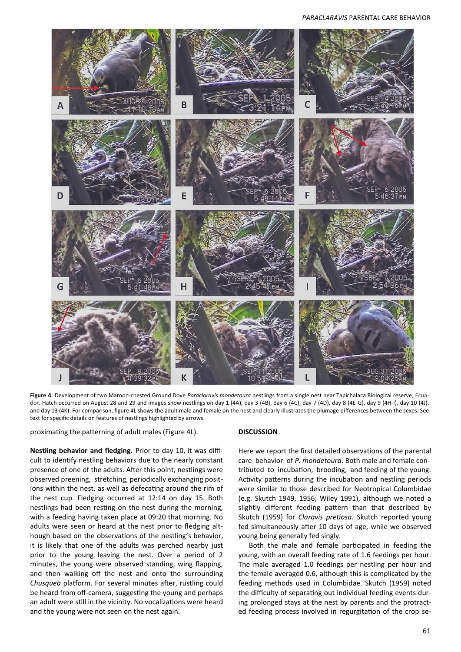# *PARACLARAVIS* PARENTAL CARE BEHAVIOR



**Figure 4.** Development of two Maroon-chested Ground Dove *Paraclaravis mondetoura* nestlings from a single nest near Tapichalaca Biological reserve, Ecuador. Hatch occurred on August 28 and 29 and images show nestlings on day 1 (4A), day 3 (4B), day 6 (4C), day 7 (4D), day 8 (4E-G), day 9 (4H-I), day 10 (4J), and day 13 (4K). For comparison, figure 4L shows the adult male and female on the nest and clearly illustrates the plumage differences between the sexes. See text for specific details on features of nestlings highlighted by arrows.

proximating the patterning of adult males (Figure 4L).

**Nestling behavior and fledging.** Prior to day 10, it was difficult to identify nestling behaviors due to the nearly constant presence of one of the adults. After this point, nestlings were observed preening, stretching, periodically exchanging positions within the nest, as well as defecating around the rim of the nest cup. Fledging occurred at 12:14 on day 15. Both nestlings had been resting on the nest during the morning, with a feeding having taken place at 09:20 that morning. No adults were seen or heard at the nest prior to fledging although based on the observations of the nestling's behavior, it is likely that one of the adults was perched nearby just prior to the young leaving the nest. Over a period of 2 minutes, the young were observed standing, wing flapping, and then walking off the nest and onto the surrounding *Chusquea* platform. For several minutes after, rustling could be heard from off-camera, suggesting the young and perhaps an adult were still in the vicinity. No vocalizations were heard and the young were not seen on the nest again.

## **DISCUSSION**

Here we report the first detailed observations of the parental care behavior of *P. mondetoura*. Both male and female contributed to incubation, brooding, and feeding of the young. Activity patterns during the incubation and nestling periods were similar to those described for Neotropical Columbidae (e.g. Skutch 1949, 1956; Wiley 1991), although we noted a slightly different feeding pattern than that described by Skutch (1959) for *Claravis pretiosa*. Skutch reported young fed simultaneously after 10 days of age, while we observed young being generally fed singly.

Both the male and female participated in feeding the young, with an overall feeding rate of 1.6 feedings per hour. The male averaged 1.0 feedings per nestling per hour and the female averaged 0.6, although this is complicated by the feeding methods used in Columbidae. Skutch (1959) noted the difficulty of separating out individual feeding events during prolonged stays at the nest by parents and the protracted feeding process involved in regurgitation of the crop se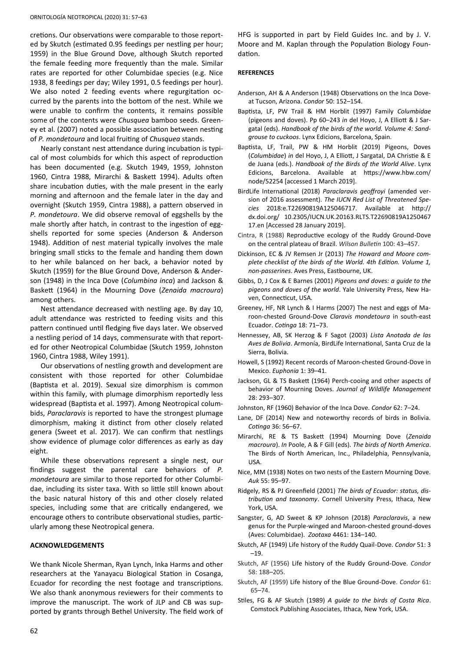cretions. Our observations were comparable to those reported by Skutch (estimated 0.95 feedings per nestling per hour; 1959) in the Blue Ground Dove, although Skutch reported the female feeding more frequently than the male. Similar rates are reported for other Columbidae species (e.g. Nice 1938, 8 feedings per day; Wiley 1991, 0.5 feedings per hour). We also noted 2 feeding events where regurgitation occurred by the parents into the bottom of the nest. While we were unable to confirm the contents, it remains possible some of the contents were *Chusquea* bamboo seeds. Greeney et al. (2007) noted a possible association between nesting of *P. mondetoura* and local fruiting of *Chusquea* stands.

Nearly constant nest attendance during incubation is typical of most columbids for which this aspect of reproduction has been documented (e.g. Skutch 1949, 1959, Johnston 1960, Cintra 1988, Mirarchi & Baskett 1994). Adults often share incubation duties, with the male present in the early morning and afternoon and the female later in the day and overnight (Skutch 1959, Cintra 1988), a pattern observed in *P. mondetoura*. We did observe removal of eggshells by the male shortly after hatch, in contrast to the ingestion of eggshells reported for some species (Anderson & Anderson 1948). Addition of nest material typically involves the male bringing small sticks to the female and handing them down to her while balanced on her back, a behavior noted by Skutch (1959) for the Blue Ground Dove, Anderson & Anderson (1948) in the Inca Dove (*Columbina inca*) and Jackson & Baskett (1964) in the Mourning Dove (*Zenaida macroura*) among others.

Nest attendance decreased with nestling age. By day 10, adult attendance was restricted to feeding visits and this pattern continued until fledging five days later. We observed a nestling period of 14 days, commensurate with that reported for other Neotropical Columbidae (Skutch 1959, Johnston 1960, Cintra 1988, Wiley 1991).

Our observations of nestling growth and development are consistent with those reported for other Columbidae (Baptista et al. 2019). Sexual size dimorphism is common within this family, with plumage dimorphism reportedly less widespread (Baptista et al. 1997). Among Neotropical columbids, *Paraclaravis* is reported to have the strongest plumage dimorphism, making it distinct from other closely related genera (Sweet et al. 2017). We can confirm that nestlings show evidence of plumage color differences as early as day eight.

While these observations represent a single nest, our findings suggest the parental care behaviors of *P. mondetoura* are similar to those reported for other Columbidae, including its sister taxa. With so little still known about the basic natural history of this and other closely related species, including some that are critically endangered, we encourage others to contribute observational studies, particularly among these Neotropical genera.

#### **ACKNOWLEDGEMENTS**

We thank Nicole Sherman, Ryan Lynch, Inka Harms and other researchers at the Yanayacu Biological Station in Cosanga, Ecuador for recording the nest footage and transcriptions. We also thank anonymous reviewers for their comments to improve the manuscript. The work of JLP and CB was supported by grants through Bethel University. The field work of HFG is supported in part by Field Guides Inc. and by J. V. Moore and M. Kaplan through the Population Biology Foundation.

#### **REFERENCES**

- Anderson, AH & A Anderson (1948) Observations on the Inca Doveat Tucson, Arizona. *Condor* 50: 152–154.
- Baptista, LF, PW Trail & HM Horblit (1997) Family *Columbidae* (pigeons and doves). Pp 60–243 *in* del Hoyo, J, A Elliott & J Sargatal (eds). *Handbook of the birds of the world. Volume 4: Sandgrouse to cuckoos*. Lynx Edicions, Barcelona, Spain.
- Baptista, LF, Trail, PW & HM Horblit (2019) Pigeons, Doves (*Columbidae*) *in* del Hoyo, J, A Elliott, J Sargatal, DA Christie & E de Juana (eds.). *Handbook of the Birds of the World Alive*. Lynx Edicions, Barcelona. Available at https://www.hbw.com/ node/52254 [accessed 1 March 2019].
- BirdLife International (2018) *Paraclaravis geoffroyi* (amended version of 2016 assessment). *The IUCN Red List of Threatened Species* 2018:e.T22690819A125046717. Available at http:// dx.doi.org/ 10.2305/IUCN.UK.20163.RLTS.T22690819A1250467 17.en [Accessed 28 January 2019].
- Cintra, R (1988) Reproductive ecology of the Ruddy Ground-Dove on the central plateau of Brazil. *Wilson Bulletin* 100: 43–457.
- Dickinson, EC & JV Remsen Jr (2013) *The Howard and Moore complete checklist of the birds of the World. 4th Edition. Volume 1, non-passerines*. Aves Press, Eastbourne, UK.
- Gibbs, D, J Cox & E Barnes (2001) *Pigeons and doves: a guide to the pigeons and doves of the world*. Yale University Press, New Haven, Connecticut, USA.
- Greeney, HF, NR Lynch & I Harms (2007) The nest and eggs of Maroon-chested Ground-Dove *Claravis mondetoura* in south-east Ecuador. *Cotinga* 18: 71–73.
- Hennessey, AB, SK Herzog & F Sagot (2003) *Lista Anotada de las Aves de Bolivia*. Armonía, BirdLife International, Santa Cruz de la Sierra, Bolivia.
- Howell, S (1992) Recent records of Maroon-chested Ground-Dove in Mexico. *Euphonia* 1: 39–41.
- Jackson, GL & TS Baskett (1964) Perch-cooing and other aspects of behavior of Mourning Doves. *Journal of Wildlife Management* 28: 293–307.
- Johnston, RF (1960) Behavior of the Inca Dove. *Condor* 62: 7–24.
- Lane, DF (2014) New and noteworthy records of birds in Bolivia. *Cotinga* 36: 56–67.
- Mirarchi, RE & TS Baskett (1994) Mourning Dove (*Zenaida macroura*). *In* Poole, A & F Gill (eds). *The birds of North America*. The Birds of North American, Inc., Philadelphia, Pennsylvania, USA.
- Nice, MM (1938) Notes on two nests of the Eastern Mourning Dove. *Auk* 55: 95–97.
- Ridgely, RS & PJ Greenfield (2001) *The birds of Ecuador: status, distribution and taxonomy*. Cornell University Press, Ithaca, New York, USA.
- Sangster, G, AD Sweet & KP Johnson (2018) *Paraclaravis*, a new genus for the Purple-winged and Maroon-chested ground-doves (Aves: Columbidae). *Zootaxa* 4461: 134–140.
- Skutch, AF (1949) Life history of the Ruddy Quail-Dove. *Condor* 51: 3 –19.
- Skutch, AF (1956) Life history of the Ruddy Ground-Dove. *Condor* 58: 188–205.
- Skutch, AF (1959) Life history of the Blue Ground-Dove. *Condor* 61: 65–74.
- Stiles, FG & AF Skutch (1989) *A guide to the birds of Costa Rica*. Comstock Publishing Associates, Ithaca, New York, USA.